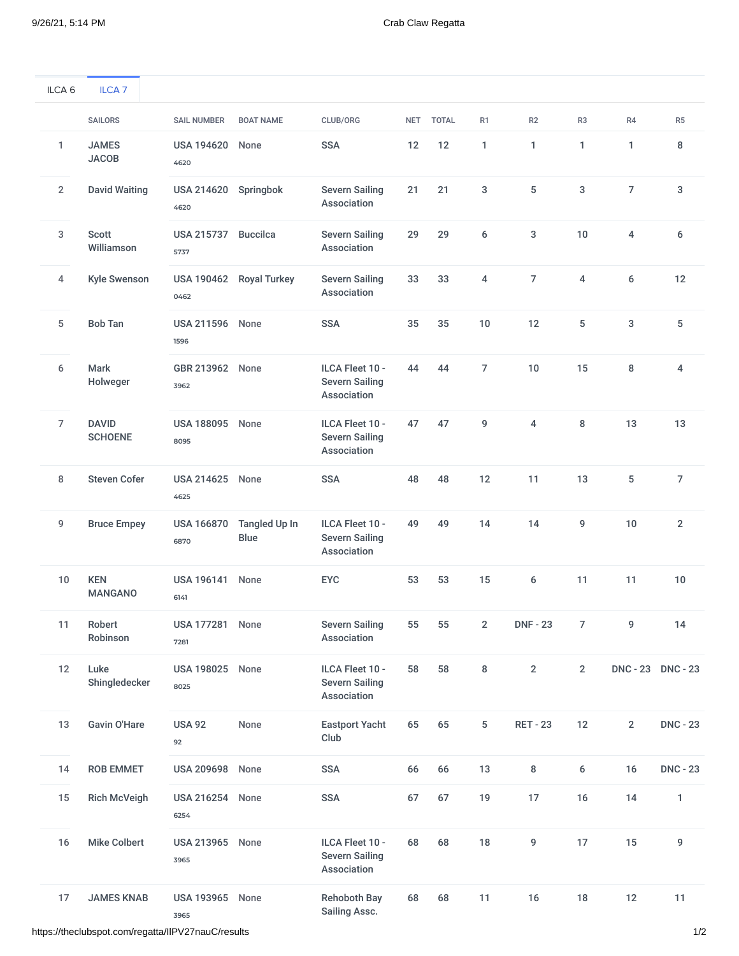| ILCA <sub>6</sub> | ILCA <sub>7</sub>              |                                |                         |                                                         |    |           |                |                 |                |                |                 |
|-------------------|--------------------------------|--------------------------------|-------------------------|---------------------------------------------------------|----|-----------|----------------|-----------------|----------------|----------------|-----------------|
|                   | <b>SAILORS</b>                 | <b>SAIL NUMBER</b>             | <b>BOAT NAME</b>        | CLUB/ORG                                                |    | NET TOTAL | R <sub>1</sub> | R2              | R <sub>3</sub> | R4             | R <sub>5</sub>  |
| $\mathbf{1}$      | <b>JAMES</b><br><b>JACOB</b>   | <b>USA 194620</b><br>4620      | None                    | <b>SSA</b>                                              | 12 | 12        | 1              | 1               | $\mathbf{1}$   | 1              | 8               |
| $\overline{2}$    | <b>David Waiting</b>           | <b>USA 214620</b><br>4620      | Springbok               | <b>Severn Sailing</b><br>Association                    | 21 | 21        | 3              | 5               | 3              | 7              | 3               |
| 3                 | Scott<br>Williamson            | <b>USA 215737</b><br>5737      | <b>Buccilca</b>         | <b>Severn Sailing</b><br>Association                    | 29 | 29        | 6              | 3               | 10             | 4              | 6               |
| 4                 | <b>Kyle Swenson</b>            | 0462                           | USA 190462 Royal Turkey | <b>Severn Sailing</b><br>Association                    | 33 | 33        | 4              | $\overline{7}$  | 4              | 6              | 12              |
| 5                 | <b>Bob Tan</b>                 | <b>USA 211596 None</b><br>1596 |                         | <b>SSA</b>                                              | 35 | 35        | 10             | 12              | 5              | 3              | 5               |
| 6                 | Mark<br>Holweger               | GBR 213962 None<br>3962        |                         | ILCA Fleet 10 -<br><b>Severn Sailing</b><br>Association | 44 | 44        | 7              | 10              | 15             | 8              | 4               |
| 7                 | <b>DAVID</b><br><b>SCHOENE</b> | <b>USA 188095</b><br>8095      | None                    | ILCA Fleet 10 -<br><b>Severn Sailing</b><br>Association | 47 | 47        | 9              | 4               | 8              | 13             | 13              |
| 8                 | <b>Steven Cofer</b>            | <b>USA 214625</b><br>4625      | None                    | <b>SSA</b>                                              | 48 | 48        | 12             | 11              | 13             | 5              | 7               |
| 9                 | <b>Bruce Empey</b>             | <b>USA 166870</b><br>6870      | Tangled Up In<br>Blue   | ILCA Fleet 10 -<br><b>Severn Sailing</b><br>Association | 49 | 49        | 14             | 14              | 9              | 10             | $\overline{2}$  |
| 10                | <b>KEN</b><br><b>MANGANO</b>   | <b>USA 196141</b><br>6141      | None                    | <b>EYC</b>                                              | 53 | 53        | 15             | 6               | 11             | 11             | 10              |
| 11                | Robert<br>Robinson             | USA 177281 None<br>7281        |                         | <b>Severn Sailing</b><br>Association                    | 55 | 55        | $\overline{2}$ | <b>DNF - 23</b> | $\overline{7}$ | 9              | 14              |
| 12                | Luke<br>Shingledecker          | <b>USA 198025 None</b><br>8025 |                         | ILCA Fleet 10 -<br><b>Severn Sailing</b><br>Association | 58 | 58        | 8              | $\sqrt{2}$      | $\sqrt{2}$     |                | DNC-23 DNC-23   |
| 13                | Gavin O'Hare                   | <b>USA 92</b><br>92            | None                    | <b>Eastport Yacht</b><br>Club                           | 65 | 65        | 5              | <b>RET - 23</b> | 12             | $\overline{2}$ | <b>DNC - 23</b> |
| 14                | <b>ROB EMMET</b>               | <b>USA 209698</b>              | None                    | <b>SSA</b>                                              | 66 | 66        | 13             | 8               | 6              | 16             | <b>DNC - 23</b> |
| 15                | <b>Rich McVeigh</b>            | <b>USA 216254</b><br>6254      | None                    | <b>SSA</b>                                              | 67 | 67        | 19             | 17              | 16             | 14             | 1               |
| 16                | <b>Mike Colbert</b>            | USA 213965 None<br>3965        |                         | ILCA Fleet 10 -<br><b>Severn Sailing</b><br>Association | 68 | 68        | 18             | 9               | 17             | 15             | 9               |
| 17                | <b>JAMES KNAB</b>              | <b>USA 193965</b><br>3965      | None                    | <b>Rehoboth Bay</b><br>Sailing Assc.                    | 68 | 68        | 11             | 16              | $18\,$         | 12             | 11              |

https://theclubspot.com/regatta/IIPV27nauC/results 1/2